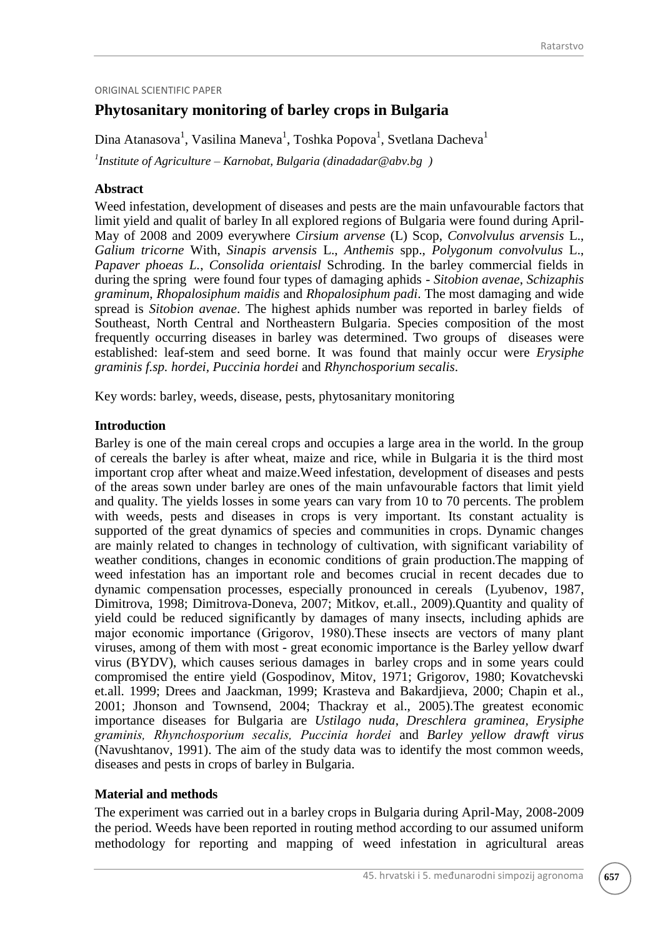#### ORIGINAL SCIENTIFIC PAPER

# **Phytosanitary monitoring of barley crops in Bulgaria**

Dina Atanasova<sup>1</sup>, Vasilina Maneva<sup>1</sup>, Toshka Popova<sup>1</sup>, Svetlana Dacheva<sup>1</sup>

*1 Institute of Agriculture – Karnobat, Bulgaria (dinadadar@abv.bg )*

## **Abstract**

Weed infestation, development of diseases and pests are the main unfavourable factors that limit yield and qualit of barley In all explored regions of Bulgaria were found during April-May of 2008 and 2009 everywhere *Cirsium arvense* (L) Scop, *Convolvulus arvensis* L., *Galium tricorne* With, *Sinapis arvensis* L., *Anthemis* spp., *Polygonum convolvulus* L., *Papaver phoeas L.*, *Consolida orientaisl* Schroding. In the barley commercial fields in during the spring were found four types of damaging aphids - *Sitobion avenae*, *Schizaphis graminum*, *Rhopalosiphum maidis* and *Rhopalosiphum padi*. The most damaging and wide spread is *Sitobion avenae*. The highest aphids number was reported in barley fields of Southeast, North Central and Northeastern Bulgaria. Species composition of the most frequently occurring diseases in barley was determined. Two groups of diseases were established: leaf-stem and seed borne. It was found that mainly occur were *Erysiphe graminis f.sp. hordei, Puccinia hordei* and *Rhynchosporium secalis*.

Key words: barley, weeds, disease, pests, phytosanitary monitoring

# **Introduction**

Barley is one of the main cereal crops and occupies a large area in the world. In the group of cereals the barley is after wheat, maize and rice, while in Bulgaria it is the third most important crop after wheat and maize.Weed infestation, development of diseases and pests of the areas sown under barley are ones of the main unfavourable factors that limit yield and quality. The yields losses in some years can vary from 10 to 70 percents. The problem with weeds, pests and diseases in crops is very important. Its constant actuality is supported of the great dynamics of species and communities in crops. Dynamic changes are mainly related to changes in technology of cultivation, with significant variability of weather conditions, changes in economic conditions of grain production.The mapping of weed infestation has an important role and becomes crucial in recent decades due to dynamic compensation processes, especially pronounced in cereals (Lyubenov, 1987, Dimitrova, 1998; Dimitrova-Doneva, 2007; Mitkov, et.all., 2009).Quantity and quality of yield could be reduced significantly by damages of many insects, including aphids are major economic importance (Grigorov, 1980).Тhese insects are vectors of many plant viruses, among of them with most - great economic importance is the Barley yellow dwarf virus (BYDV), which causes serious damages in barley crops and in some years could compromised the entire yield (Gospodinov, Mitov, 1971; Grigorov, 1980; Kovatchevski et.all. 1999; Drees and Jaackman, 1999; Krasteva and Bakardjieva, 2000; Chapin et al., 2001; Jhonson and Townsend, 2004; Thackray et al., 2005).The greatest economic importance diseases for Bulgaria are *Ustilago nuda*, *Dreschlera graminea, Erysiphe graminis, Rhynchosporium secаlis, Puccinia hordei* and *Barley yellow drawft virus* (Navushtanov, 1991). The aim of the study data was to identify the most common weeds, diseases and pests in crops of barley in Bulgaria.

## **Material and methods**

The experiment was carried out in a barley crops in Bulgaria during April-May, 2008-2009 the period. Weeds have been reported in routing method according to our assumed uniform methodology for reporting and mapping of weed infestation in agricultural areas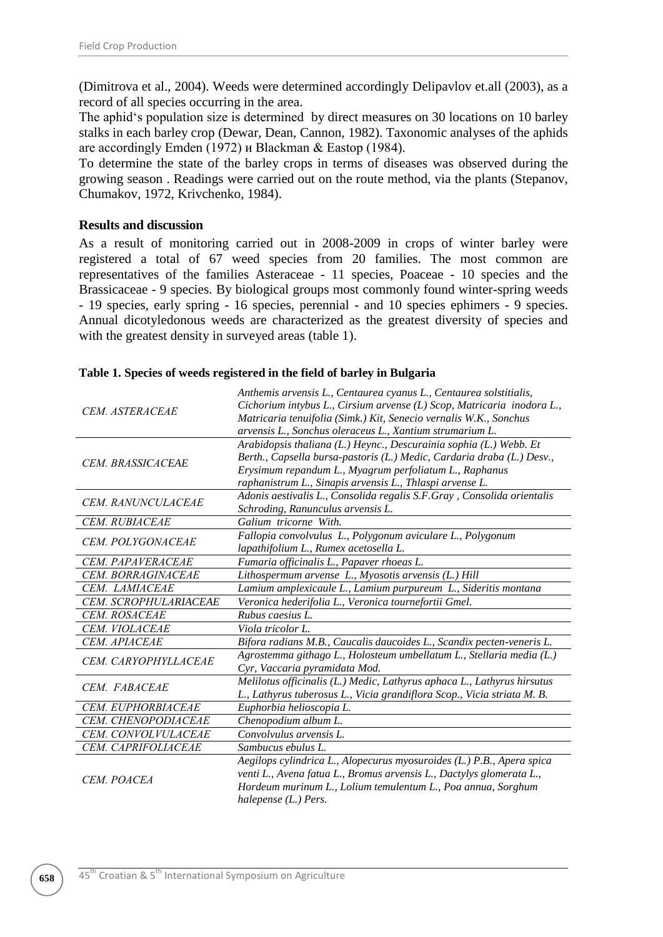(Dimitrova et al., 2004). Weeds were determined accordingly Delipavlov et.all (2003), as a record of all species occurring in the area.

The aphid's population size is determined by direct measures on 30 locations on 10 barley stalks in each barley crop (Dewar, Dean, Cannon, 1982). Taxonomic analyses of the aphids are accordingly Emden (1972) и Blackman & Eastop (1984).

To determine the state of the barley crops in terms of diseases was observed during the growing season . Readings were carried out on the route method, via the plants (Stepanov, Chumakov, 1972, Krivchenko, 1984).

## **Results and discussion**

As a result of monitoring carried out in 2008-2009 in crops of winter barley were registered a total of 67 weed species from 20 families. The most common are representatives of the families Asteraceae - 11 species, Poaceae - 10 species and the Brassicaceae - 9 species. By biological groups most commonly found winter-spring weeds - 19 species, early spring - 16 species, perennial - and 10 species ephimers - 9 species. Annual dicotyledonous weeds are characterized as the greatest diversity of species and with the greatest density in surveyed areas (table 1).

|                        | Anthemis arvensis L., Centaurea cyanus L., Centaurea solstitialis,      |  |  |  |  |  |
|------------------------|-------------------------------------------------------------------------|--|--|--|--|--|
| <b>CEM. ASTERACEAE</b> | Cichorium intybus L., Cirsium arvense (L) Scop, Matricaria inodora L.,  |  |  |  |  |  |
|                        | Matricaria tenuifolia (Simk.) Kit, Senecio vernalis W.K., Sonchus       |  |  |  |  |  |
|                        | arvensis L., Sonchus oleraceus L., Xantium strumarium L.                |  |  |  |  |  |
|                        | Arabidopsis thaliana (L.) Heync., Descurainia sophia (L.) Webb. Et      |  |  |  |  |  |
| CEM. BRASSICACEAE      | Berth., Capsella bursa-pastoris (L.) Medic, Cardaria draba (L.) Desv.,  |  |  |  |  |  |
|                        | Erysimum repandum L., Myagrum perfoliatum L., Raphanus                  |  |  |  |  |  |
|                        | raphanistrum L., Sinapis arvensis L., Thlaspi arvense L.                |  |  |  |  |  |
| CEM. RANUNCULACEAE     | Adonis aestivalis L., Consolida regalis S.F.Gray, Consolida orientalis  |  |  |  |  |  |
|                        | Schroding, Ranunculus arvensis L.                                       |  |  |  |  |  |
| CEM. RUBIACEAE         | Galium tricorne With.                                                   |  |  |  |  |  |
| CEM. POLYGONACEAE      | Fallopia convolvulus L., Polygonum aviculare L., Polygonum              |  |  |  |  |  |
|                        | lapathifolium L., Rumex acetosella L.                                   |  |  |  |  |  |
| CEM. PAPAVERACEAE      | Fumaria officinalis L., Papaver rhoeas L.                               |  |  |  |  |  |
| CEM. BORRAGINACEAE     | Lithospermum arvense L., Myosotis arvensis (L.) Hill                    |  |  |  |  |  |
| CEM. LAMIACEAE         | Lamium amplexicaule L., Lamium purpureum L., Sideritis montana          |  |  |  |  |  |
| CEM. SCROPHULARIACEAE  | Veronica hederifolia L., Veronica tournefortii Gmel.                    |  |  |  |  |  |
|                        |                                                                         |  |  |  |  |  |
| CEM. ROSACEAE          | Rubus caesius L.                                                        |  |  |  |  |  |
| CEM. VIOLACEAE         | Viola tricolor L.                                                       |  |  |  |  |  |
| CEM. APIACEAE          | Bifora radians M.B., Caucalis daucoides L., Scandix pecten-veneris L.   |  |  |  |  |  |
|                        | Agrostemma githago L., Holosteum umbellatum L., Stellaria media (L.)    |  |  |  |  |  |
| CEM. CARYOPHYLLACEAE   | Cyr, Vaccaria pyramidata Mod.                                           |  |  |  |  |  |
|                        | Melilotus officinalis (L.) Medic, Lathyrus aphaca L., Lathyrus hirsutus |  |  |  |  |  |
| CEM. FABACEAE          | L., Lathyrus tuberosus L., Vicia grandiflora Scop., Vicia striata M. B. |  |  |  |  |  |
| CEM. EUPHORBIACEAE     | Euphorbia helioscopia L.                                                |  |  |  |  |  |
| CEM. CHENOPODIACEAE    | Chenopodium album L.                                                    |  |  |  |  |  |
| CEM. CONVOLVULACEAE    | Convolvulus arvensis L.                                                 |  |  |  |  |  |
| CEM. CAPRIFOLIACEAE    | Sambucus ebulus L.                                                      |  |  |  |  |  |
|                        | Aegilops cylindrica L., Alopecurus myosuroides (L.) P.B., Apera spica   |  |  |  |  |  |
|                        | venti L., Avena fatua L., Bromus arvensis L., Dactylys glomerata L.,    |  |  |  |  |  |
| CEM. POACEA            | Hordeum murinum L., Lolium temulentum L., Poa annua, Sorghum            |  |  |  |  |  |

#### **Table 1. Species of weeds registered in the field of barley in Bulgaria**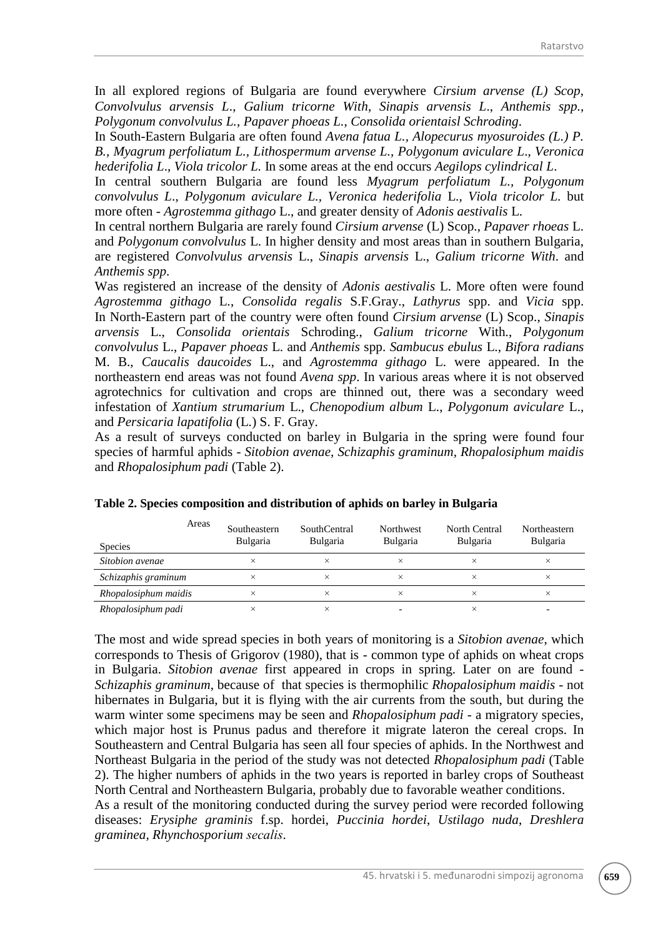In all explored regions of Bulgaria are found everywhere *Cirsium arvense (L) Scop*, *Convolvulus arvensis L*., *Galium tricorne With*, *Sinapis arvensis L*., *Anthemis spp., Polygonum convolvulus L., Papaver phoeas L.*, *Consolida orientaisl Schroding*.

In South-Eastern Bulgaria are often found *Avena fatua L., Alopecurus myosuroides (L.) P. B., Myagrum perfoliatum L., Lithospermum arvense L., Polygonum aviculare L*., *Veronica hederifolia L*., *Viola tricolor L.* In some areas at the end occurs *Aegilops cylindrical L*.

In central southern Bulgaria are found less *Myagrum perfoliatum L., Polygonum convolvulus L*., *Polygonum aviculare L., Veronica hederifolia* L., *Viola tricolor L.* but more often - *Agrostemma githago* L., and greater density of *Adonis aestivalis* L.

In central northern Bulgaria are rarely found *Cirsium arvense* (L) Scop., *Papaver rhoeas* L. and *Polygonum convolvulus* L. In higher density and most areas than in southern Bulgaria, are registered *Convolvulus arvensis* L., *Sinapis arvensis* L., *Galium tricorne With*. and *Anthemis spp*.

Was registered an increase of the density of *Adonis aestivalis* L. More often were found *Agrostemma githago* L., *Consolida regalis* S.F.Gray., *Lathyrus* spp. and *Vicia* spp. In North-Eastern part of the country were often found *Cirsium arvense* (L) Scop., *Sinapis arvensis* L., *Consolida orientais* Schroding., *Galium tricorne* With., *Polygonum convolvulus* L., *Papaver phoeas* L. and *Anthemis* spp. *Sambucus ebulus* L., *Bifora radians* M. B., *Caucalis daucoides* L., and *Agrostemma githago* L. were appeared. In the northeastern end areas was not found *Avena spp*. In various areas where it is not observed agrotechnics for cultivation and crops are thinned out, there was a secondary weed infestation of *Xantium strumarium* L., *Chenopodium album* L., *Polygonum aviculare* L., and *Persicaria lapatifolia* (L.) S. F. Gray.

As a result of surveys conducted on barley in Bulgaria in the spring were found four species of harmful aphids - *Sitobion avenae, Schizaphis graminum, Rhopalosiphum maidis* and *Rhopalosiphum padi* (Table 2).

| Areas<br><b>Species</b> | Southeastern<br><b>Bulgaria</b> | <b>SouthCentral</b><br><b>Bulgaria</b> | <b>Northwest</b><br><b>Bulgaria</b> | North Central<br><b>Bulgaria</b> | Northeastern<br><b>Bulgaria</b> |
|-------------------------|---------------------------------|----------------------------------------|-------------------------------------|----------------------------------|---------------------------------|
| Sitobion avenae         | ×                               | ×                                      |                                     | ×                                | $\times$                        |
| Schizaphis graminum     | $\times$                        | $\times$                               | $\times$                            | $\times$                         | $\times$                        |
| Rhopalosiphum maidis    | ×                               | ×                                      | $\times$                            | ×                                | $\times$                        |
| Rhopalosiphum padi      | $\times$                        | $\times$                               |                                     | ×                                |                                 |

|  |  | Table 2. Species composition and distribution of aphids on barley in Bulgaria |  |
|--|--|-------------------------------------------------------------------------------|--|
|--|--|-------------------------------------------------------------------------------|--|

The most and wide spread species in both years of monitoring is a *Sitobion avenae*, which corresponds to Thesis of Grigorov (1980), that is - common type of aphids on wheat crops in Bulgaria. *Sitobion avenae* first appeared in crops in spring. Later on are found - *Schizaphis graminum*, because of that species is thermophilic *Rhopalosiphum maidis* - not hibernates in Bulgaria, but it is flying with the air currents from the south, but during the warm winter some specimens may be seen and *Rhopalosiphum padi* - a migratory species, which major host is Prunus padus and therefore it migrate lateron the cereal crops. In Southeastern and Central Bulgaria has seen all four species of aphids. In the Northwest and Northeast Bulgaria in the period of the study was not detected *Rhopalosiphum padi* (Table 2). The higher numbers of aphids in the two years is reported in barley crops of Southeast North Central and Northeastern Bulgaria, probably due to favorable weather conditions.

As a result of the monitoring conducted during the survey period were recorded following diseases: *Erysiphe graminis* f.sp. hordei, *Puccinia hordei*, *Ustilago nuda*, *Dreshlera graminea, Rhynchosporium secаlis*.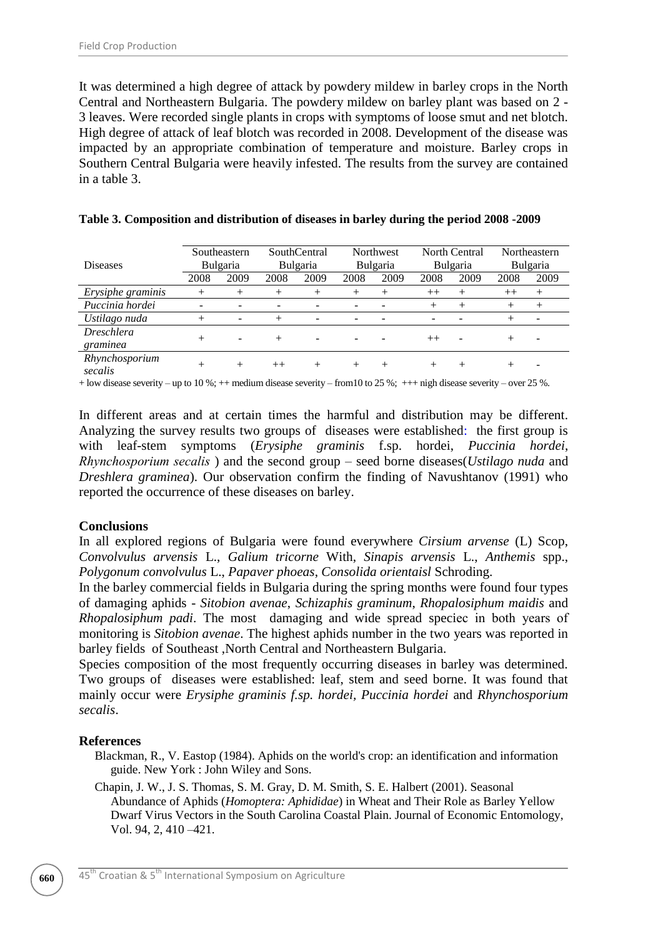It was determined a high degree of attack by powdery mildew in barley crops in the North Central and Northeastern Bulgaria. The powdery mildew on barley plant was based on 2 - 3 leaves. Were recorded single plants in crops with symptoms of loose smut and net blotch. High degree of attack of leaf blotch was recorded in 2008. Development of the disease was impacted by an appropriate combination of temperature and moisture. Barley crops in Southern Central Bulgaria were heavily infested. The results from the survey are contained in a table 3.

| <b>Diseases</b>               | Southeastern<br><b>Bulgaria</b> |        | <b>SouthCentral</b><br><b>Bulgaria</b> |        | <b>Northwest</b><br><b>Bulgaria</b> |        | North Central<br><b>Bulgaria</b> |        | Northeastern<br><b>Bulgaria</b> |        |
|-------------------------------|---------------------------------|--------|----------------------------------------|--------|-------------------------------------|--------|----------------------------------|--------|---------------------------------|--------|
|                               | 2008                            | 2009   | 2008                                   | 2009   | 2008                                | 2009   | 2008                             | 2009   | 2008                            | 2009   |
| Erysiphe graminis             | $^+$                            | $+$    | $^{+}$                                 | $^{+}$ | $^+$                                | $^{+}$ | $^{++}$                          | $^{+}$ | $++$                            | $^{+}$ |
| Puccinia hordei               |                                 |        |                                        |        |                                     |        | $^+$                             | $^{+}$ | $^{+}$                          | $^{+}$ |
| Ustilago nuda                 | $^+$                            |        | $^{+}$                                 | -      | -                                   |        |                                  |        |                                 | -      |
| <i>Dreschlera</i><br>graminea |                                 |        | $+$                                    |        |                                     |        | $++$                             |        | $^+$                            |        |
| Rhynchosporium<br>secalis     |                                 | $\div$ | $^{++}$                                | $^{+}$ | $^+$                                | $^{+}$ | $^{+}$                           | $^{+}$ |                                 |        |

#### **Table 3. Composition and distribution of diseases in barley during the period 2008 -2009**

+ low disease severity – up to 10 %; ++ medium disease severity – from10 to 25 %; +++ nigh disease severity – over 25 %.

In different areas and at certain times the harmful and distribution may be different. Analyzing the survey results two groups of diseases were established: the first group is with leaf-stem symptoms (*Erysiphe graminis* f.sp. hordei, *Puccinia hordei*, *Rhynchosporium secаlis* ) and the second group – seed borne diseases(*Ustilago nuda* and *Dreshlera graminea*). Our observation confirm the finding of Navushtanov (1991) who reported the occurrence of these diseases on barley.

## **Conclusions**

In all explored regions of Bulgaria were found everywhere *Cirsium arvense* (L) Scop, *Convolvulus arvensis* L., *Galium tricorne* With, *Sinapis arvensis* L., *Anthemis* spp., *Polygonum convolvulus* L., *Papaver phoeas*, *Consolida orientaisl* Schroding.

In the barley commercial fields in Bulgaria during the spring months were found four types of damaging aphids - *Sitobion avenae*, *Schizaphis graminum*, *Rhopalosiphum maidis* and *Rhopalosiphum padi*. The most damaging and wide spread speciес in both years of monitoring is *Sitobion avenae*. The highest aphids number in the two years was reported in barley fields of Southeast ,North Central and Northeastern Bulgaria.

Species composition of the most frequently occurring diseases in barley was determined. Two groups of diseases were established: leaf, stem and seed borne. It was found that mainly occur were *Erysiphe graminis f.sp. hordei, Puccinia hordei* and *Rhynchosporium secalis*.

#### **References**

Blackman, R., V. Eastop (1984). Aphids on the world's crop: an identification and information guide. New York : John Wiley and Sons.

Chapin, J. W., J. S. Thomas, S. M. Gray, D. M. Smith, S. E. Halbert (2001). Seasonal Abundance of Aphids (*Homoptera: Aphididae*) in Wheat and Their Role as Barley Yellow Dwarf Virus Vectors in the South Carolina Coastal Plain. Journal of Economic Entomology, Vol. 94, 2, 410 –421.